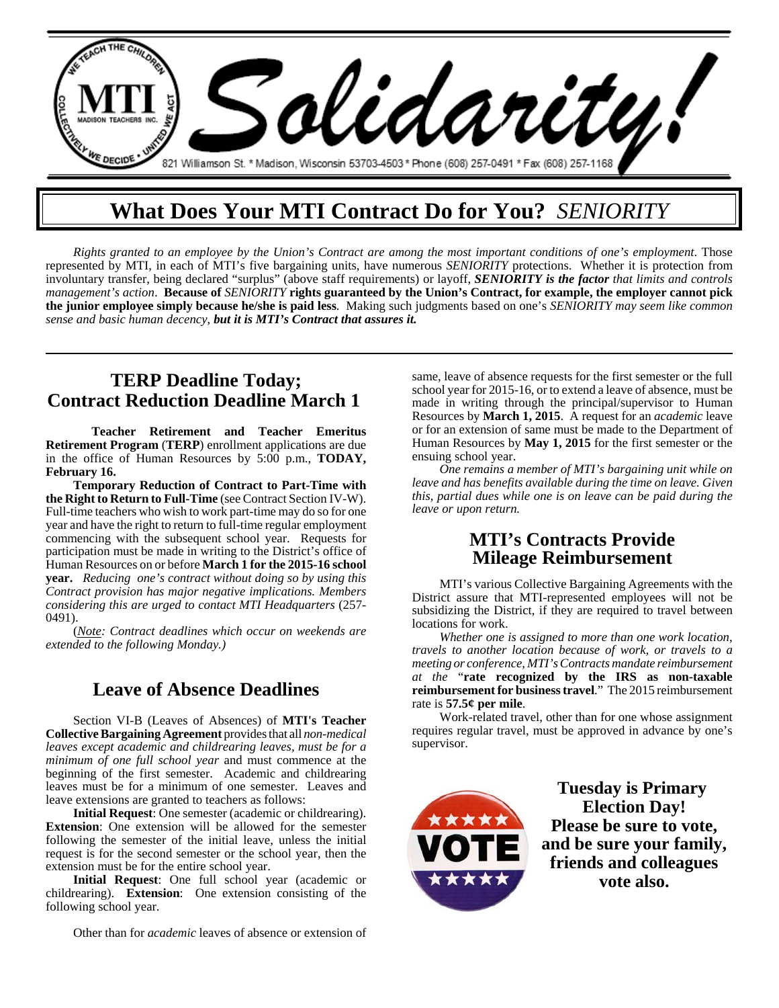

# **What Does Your MTI Contract Do for You?** *SENIORITY*

*Rights granted to an employee by the Union's Contract are among the most important conditions of one's employment*. Those represented by MTI, in each of MTI's five bargaining units, have numerous *SENIORITY* protections. Whether it is protection from involuntary transfer, being declared "surplus" (above staff requirements) or layoff, *SENIORITY is the factor that limits and controls management's action*. **Because of** *SENIORITY* **rights guaranteed by the Union's Contract, for example, the employer cannot pick the junior employee simply because he/she is paid less**. Making such judgments based on one's *SENIORITY may seem like common sense and basic human decency*, *but it is MTI's Contract that assures it.*

## **TERP Deadline Today; Contract Reduction Deadline March 1**

**Teacher Retirement and Teacher Emeritus Retirement Program** (**TERP**) enrollment applications are due in the office of Human Resources by 5:00 p.m., **TODAY, February 16.**

**Temporary Reduction of Contract to Part-Time with the Right to Return to Full-Time** (see Contract Section IV-W). Full-time teachers who wish to work part-time may do so for one year and have the right to return to full-time regular employment commencing with the subsequent school year. Requests for participation must be made in writing to the District's office of Human Resources on or before **March 1 for the 2015-16 school year.** *Reducing one's contract without doing so by using this Contract provision has major negative implications. Members considering this are urged to contact MTI Headquarters* (257- 0491).

(*Note: Contract deadlines which occur on weekends are extended to the following Monday.)*

#### **Leave of Absence Deadlines**

Section VI-B (Leaves of Absences) of **MTI's Teacher Collective Bargaining Agreement** provides that all *non-medical leaves except academic and childrearing leaves, must be for a minimum of one full school year* and must commence at the beginning of the first semester. Academic and childrearing leaves must be for a minimum of one semester. Leaves and leave extensions are granted to teachers as follows:

**Initial Request**: One semester (academic or childrearing). **Extension**: One extension will be allowed for the semester following the semester of the initial leave, unless the initial request is for the second semester or the school year, then the extension must be for the entire school year.

**Initial Request**: One full school year (academic or childrearing). **Extension**: One extension consisting of the following school year.

Other than for *academic* leaves of absence or extension of

same, leave of absence requests for the first semester or the full school year for 2015-16, or to extend a leave of absence, must be made in writing through the principal/supervisor to Human Resources by **March 1, 2015**. A request for an *academic* leave or for an extension of same must be made to the Department of Human Resources by **May 1, 2015** for the first semester or the ensuing school year.

*One remains a member of MTI's bargaining unit while on leave and has benefits available during the time on leave. Given this, partial dues while one is on leave can be paid during the leave or upon return.*

#### **MTI's Contracts Provide Mileage Reimbursement**

MTI's various Collective Bargaining Agreements with the District assure that MTI-represented employees will not be subsidizing the District, if they are required to travel between locations for work.

*Whether one is assigned to more than one work location, travels to another location because of work, or travels to a meeting or conference, MTI's Contracts mandate reimbursement at the* "**rate recognized by the IRS as non-taxable reimbursement for business travel**." The 2015 reimbursement rate is **57.5¢ per mile**.

Work-related travel, other than for one whose assignment requires regular travel, must be approved in advance by one's supervisor.



**Tuesday is Primary Election Day! Please be sure to vote, and be sure your family, friends and colleagues vote also.**